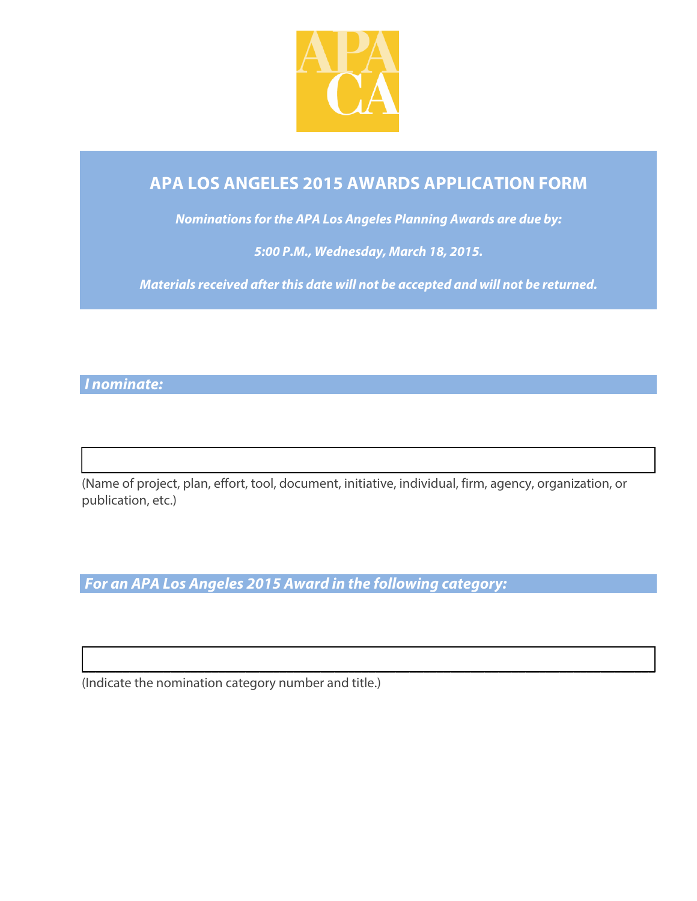

# **APA LOS ANGELES 2015 AWARDS APPLICATION FORM**

*Nominations for the APA Los Angeles Planning Awards are due by:* 

*5:00 P.M., Wednesday, March 18, 2015.*

*Materials received after this date will not be accepted and will not be returned.*

*I nominate:* 

 $\mathcal{L}_\text{max}$  , and the contract of the contract of the contract of the contract of the contract of the contract of the contract of the contract of the contract of the contract of the contract of the contract of the contr (Name of project, plan, effort, tool, document, initiative, individual, firm, agency, organization, or publication, etc.)

**\_\_\_\_\_\_\_\_\_\_\_\_\_\_\_\_\_\_\_\_\_\_\_\_\_\_\_\_\_\_\_\_\_\_\_\_\_\_\_\_\_\_\_\_\_\_\_\_\_\_\_\_\_\_\_\_\_\_\_\_\_\_\_\_\_\_\_\_\_\_\_\_\_\_\_\_\_\_\_\_\_\_\_\_**

*For an APA Los Angeles 2015 Award in the following category:*

(Indicate the nomination category number and title.)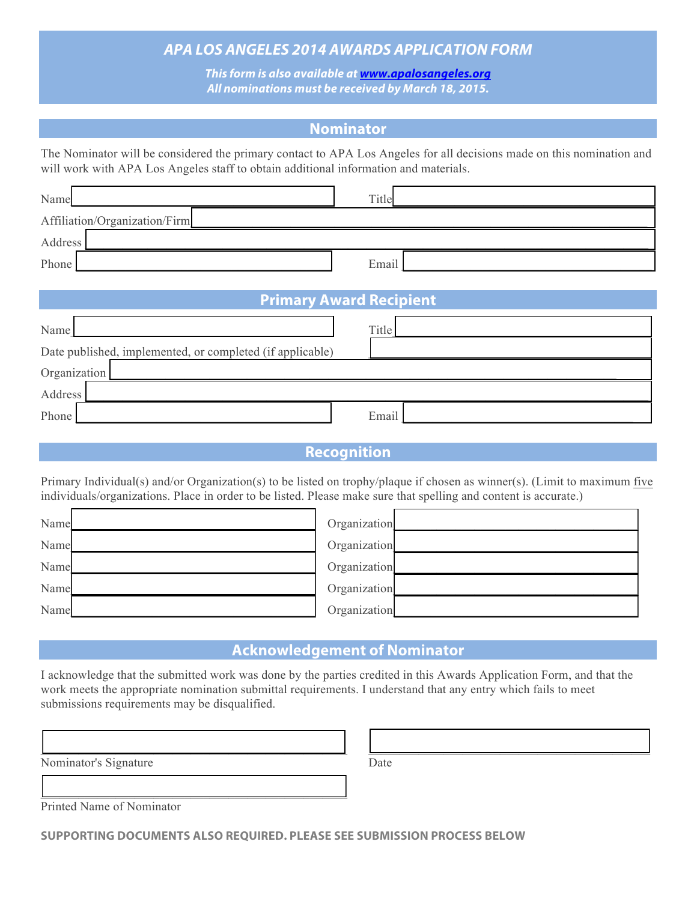## *APA LOS ANGELES 2014 AWARDS APPLICATION FORM*

*This form is also available at www.apalosangeles.org All nominations must be received by March 18, 2015.*

## **Nominator**

The Nominator will be considered the primary contact to APA Los Angeles for all decisions made on this nomination and will work with APA Los Angeles staff to obtain additional information and materials.

| Name                          | Title |  |  |  |
|-------------------------------|-------|--|--|--|
| Affiliation/Organization/Firm |       |  |  |  |
| Address                       |       |  |  |  |
| Phone                         | Email |  |  |  |

| <b>Primary Award Recipient</b>                            |              |  |  |  |
|-----------------------------------------------------------|--------------|--|--|--|
| Name                                                      | <b>Title</b> |  |  |  |
| Date published, implemented, or completed (if applicable) |              |  |  |  |
| Organization                                              |              |  |  |  |
| Address                                                   |              |  |  |  |
| Phone                                                     | Email        |  |  |  |

## **Recognition**

Primary Individual(s) and/or Organization(s) to be listed on trophy/plaque if chosen as winner(s). (Limit to maximum five individuals/organizations. Place in order to be listed. Please make sure that spelling and content is accurate.)

| Name | Organization |  |
|------|--------------|--|
| Name | Organization |  |
| Name | Organization |  |
| Name | Organization |  |
| Name | Organization |  |

## **Acknowledgement of Nominator**

I acknowledge that the submitted work was done by the parties credited in this Awards Application Form, and that the work meets the appropriate nomination submittal requirements. I understand that any entry which fails to meet submissions requirements may be disqualified.

| Nominator's Signature | Date |
|-----------------------|------|
|                       |      |

Printed Name of Nominator

Г

**SUPPORTING DOCUMENTS ALSO REQUIRED. PLEASE SEE SUBMISSION PROCESS BELOW**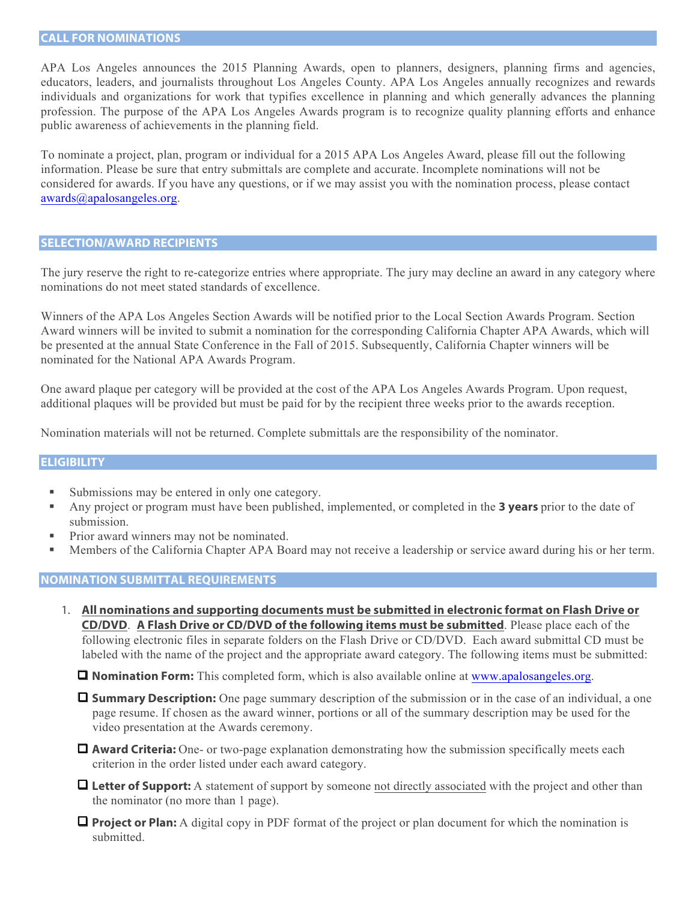APA Los Angeles announces the 2015 Planning Awards, open to planners, designers, planning firms and agencies, educators, leaders, and journalists throughout Los Angeles County. APA Los Angeles annually recognizes and rewards individuals and organizations for work that typifies excellence in planning and which generally advances the planning profession. The purpose of the APA Los Angeles Awards program is to recognize quality planning efforts and enhance public awareness of achievements in the planning field.

To nominate a project, plan, program or individual for a 2015 APA Los Angeles Award, please fill out the following information. Please be sure that entry submittals are complete and accurate. Incomplete nominations will not be considered for awards. If you have any questions, or if we may assist you with the nomination process, please contact awards@apalosangeles.org.

### **SELECTION/AWARD RECIPIENTS**

The jury reserve the right to re-categorize entries where appropriate. The jury may decline an award in any category where nominations do not meet stated standards of excellence.

Winners of the APA Los Angeles Section Awards will be notified prior to the Local Section Awards Program. Section Award winners will be invited to submit a nomination for the corresponding California Chapter APA Awards, which will be presented at the annual State Conference in the Fall of 2015. Subsequently, California Chapter winners will be nominated for the National APA Awards Program.

One award plaque per category will be provided at the cost of the APA Los Angeles Awards Program. Upon request, additional plaques will be provided but must be paid for by the recipient three weeks prior to the awards reception.

Nomination materials will not be returned. Complete submittals are the responsibility of the nominator.

### **ELIGIBILITY**

- Submissions may be entered in only one category.
- § Any project or program must have been published, implemented, or completed in the **3 years** prior to the date of submission.
- Prior award winners may not be nominated.
- Members of the California Chapter APA Board may not receive a leadership or service award during his or her term.

#### **NOMINATION SUBMITTAL REQUIREMENTS**

1. **All nominations and supporting documents must be submitted in electronic format on Flash Drive or CD/DVD**. **A Flash Drive or CD/DVD of the following items must be submitted**. Please place each of the following electronic files in separate folders on the Flash Drive or CD/DVD. Each award submittal CD must be labeled with the name of the project and the appropriate award category. The following items must be submitted:

**Q Nomination Form:** This completed form, which is also available online at www.apalosangeles.org.

**Q Summary Description:** One page summary description of the submission or in the case of an individual, a one page resume. If chosen as the award winner, portions or all of the summary description may be used for the video presentation at the Awards ceremony.

**Q Award Criteria:** One- or two-page explanation demonstrating how the submission specifically meets each criterion in the order listed under each award category.

**Q** Letter of Support: A statement of support by someone not directly associated with the project and other than the nominator (no more than 1 page).

**Q Project or Plan:** A digital copy in PDF format of the project or plan document for which the nomination is submitted.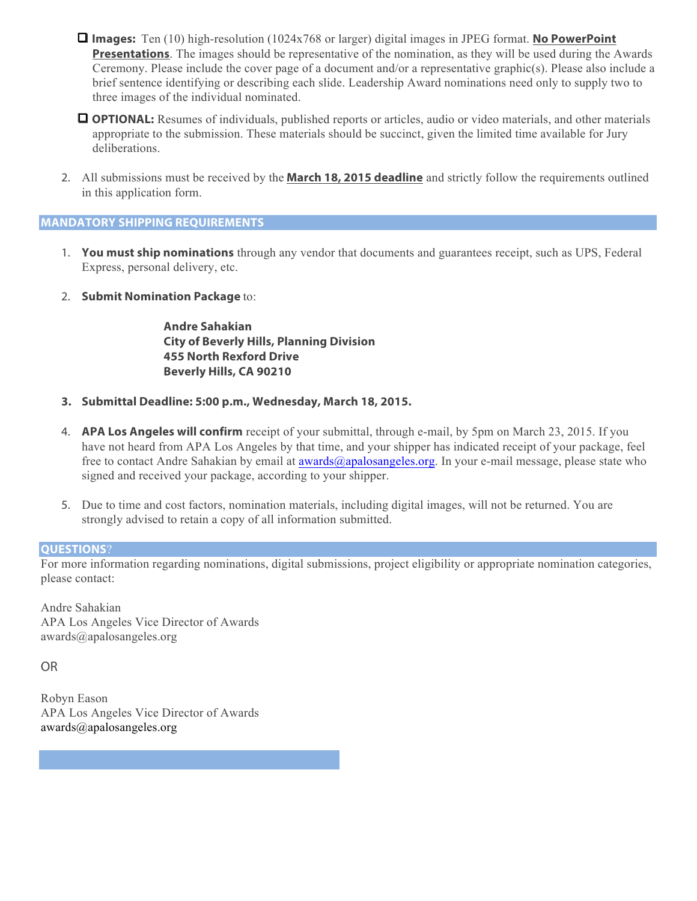- $\Box$  **Images:** Ten (10) high-resolution (1024x768 or larger) digital images in JPEG format. **No PowerPoint Presentations**. The images should be representative of the nomination, as they will be used during the Awards Ceremony. Please include the cover page of a document and/or a representative graphic(s). Please also include a brief sentence identifying or describing each slide. Leadership Award nominations need only to supply two to three images of the individual nominated.
- **Q OPTIONAL:** Resumes of individuals, published reports or articles, audio or video materials, and other materials appropriate to the submission. These materials should be succinct, given the limited time available for Jury deliberations.
- 2. All submissions must be received by the **March 18, 2015 deadline** and strictly follow the requirements outlined in this application form.

## **MANDATORY SHIPPING REQUIREMENTS**

- 1. **You must ship nominations** through any vendor that documents and guarantees receipt, such as UPS, Federal Express, personal delivery, etc.
- 2. **Submit Nomination Package** to:

**Andre Sahakian City of Beverly Hills, Planning Division 455 North Rexford Drive Beverly Hills, CA 90210**

- **3. Submittal Deadline: 5:00 p.m., Wednesday, March 18, 2015.**
- 4. **APA Los Angeles will confirm** receipt of your submittal, through e-mail, by 5pm on March 23, 2015. If you have not heard from APA Los Angeles by that time, and your shipper has indicated receipt of your package, feel free to contact Andre Sahakian by email at awards@apalosangeles.org. In your e-mail message, please state who signed and received your package, according to your shipper.
- 5. Due to time and cost factors, nomination materials, including digital images, will not be returned. You are strongly advised to retain a copy of all information submitted.

## **QUESTIONS?**

For more information regarding nominations, digital submissions, project eligibility or appropriate nomination categories, please contact:

Andre Sahakian APA Los Angeles Vice Director of Awards awards@apalosangeles.org

OR

Robyn Eason APA Los Angeles Vice Director of Awards awards@apalosangeles.org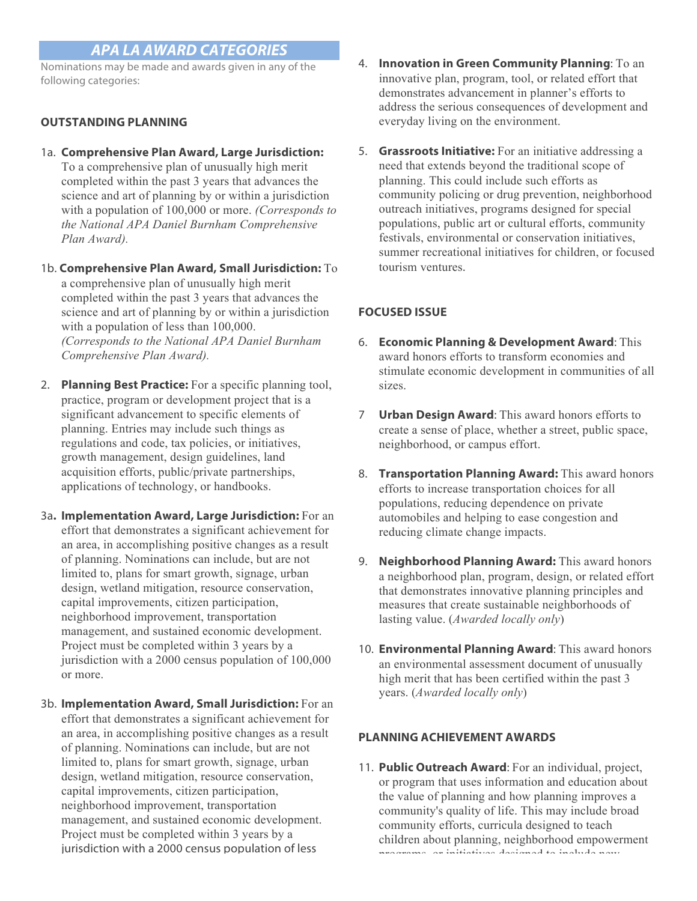## *APA LA AWARD CATEGORIES*

Nominations may be made and awards given in any of the following categories:

## **OUTSTANDING PLANNING**

- 1a. **Comprehensive Plan Award, Large Jurisdiction:**  To a comprehensive plan of unusually high merit completed within the past 3 years that advances the science and art of planning by or within a jurisdiction with a population of 100,000 or more. *(Corresponds to the National APA Daniel Burnham Comprehensive Plan Award).*
- 1b. **Comprehensive Plan Award, Small Jurisdiction:** To a comprehensive plan of unusually high merit completed within the past 3 years that advances the science and art of planning by or within a jurisdiction with a population of less than 100,000. *(Corresponds to the National APA Daniel Burnham Comprehensive Plan Award).*
- 2. **Planning Best Practice:** For a specific planning tool, practice, program or development project that is a significant advancement to specific elements of planning. Entries may include such things as regulations and code, tax policies, or initiatives, growth management, design guidelines, land acquisition efforts, public/private partnerships, applications of technology, or handbooks.
- 3a**. Implementation Award, Large Jurisdiction:** For an effort that demonstrates a significant achievement for an area, in accomplishing positive changes as a result of planning. Nominations can include, but are not limited to, plans for smart growth, signage, urban design, wetland mitigation, resource conservation, capital improvements, citizen participation, neighborhood improvement, transportation management, and sustained economic development. Project must be completed within 3 years by a jurisdiction with a 2000 census population of 100,000 or more.
- 3b. **Implementation Award, Small Jurisdiction:** For an effort that demonstrates a significant achievement for an area, in accomplishing positive changes as a result of planning. Nominations can include, but are not limited to, plans for smart growth, signage, urban design, wetland mitigation, resource conservation, capital improvements, citizen participation, neighborhood improvement, transportation management, and sustained economic development. Project must be completed within 3 years by a jurisdiction with a 2000 census population of less
- 4. **Innovation in Green Community Planning**: To an innovative plan, program, tool, or related effort that demonstrates advancement in planner's efforts to address the serious consequences of development and everyday living on the environment.
- 5. **Grassroots Initiative:** For an initiative addressing a need that extends beyond the traditional scope of planning. This could include such efforts as community policing or drug prevention, neighborhood outreach initiatives, programs designed for special populations, public art or cultural efforts, community festivals, environmental or conservation initiatives, summer recreational initiatives for children, or focused tourism ventures.

## **FOCUSED ISSUE**

- 6. **Economic Planning & Development Award**: This award honors efforts to transform economies and stimulate economic development in communities of all sizes.
- 7 **Urban Design Award**: This award honors efforts to create a sense of place, whether a street, public space, neighborhood, or campus effort.
- 8. **Transportation Planning Award:** This award honors efforts to increase transportation choices for all populations, reducing dependence on private automobiles and helping to ease congestion and reducing climate change impacts.
- 9. **Neighborhood Planning Award:** This award honors a neighborhood plan, program, design, or related effort that demonstrates innovative planning principles and measures that create sustainable neighborhoods of lasting value. (*Awarded locally only*)
- 10. **Environmental Planning Award**: This award honors an environmental assessment document of unusually high merit that has been certified within the past 3 years. (*Awarded locally only*)

## **PLANNING ACHIEVEMENT AWARDS**

11. **Public Outreach Award**: For an individual, project, or program that uses information and education about the value of planning and how planning improves a community's quality of life. This may include broad community efforts, curricula designed to teach children about planning, neighborhood empowerment programs, or initiatives designed to include new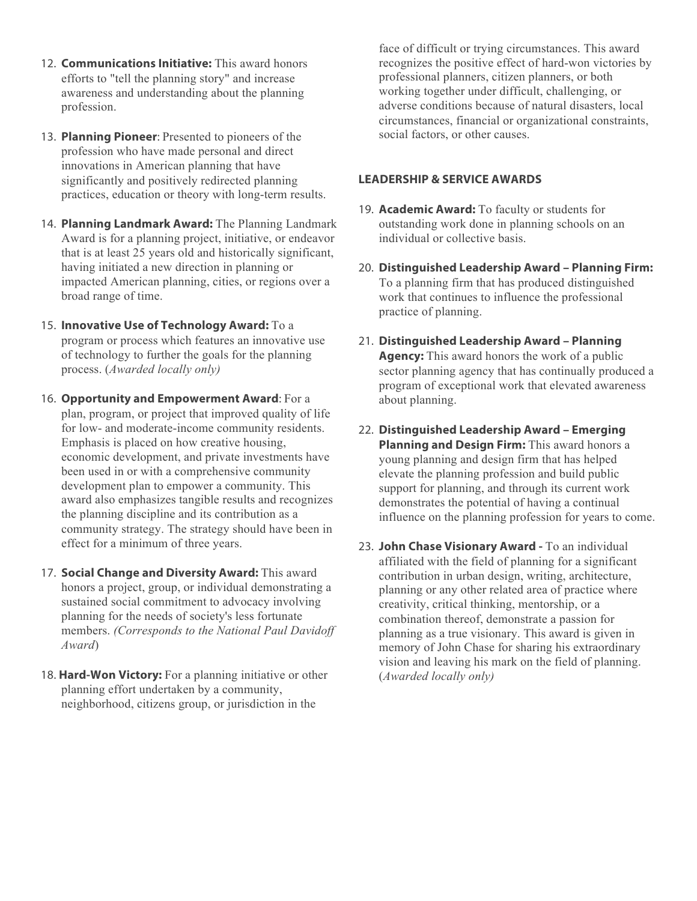- 12. **Communications Initiative:** This award honors efforts to "tell the planning story" and increase awareness and understanding about the planning profession.
- 13. **Planning Pioneer**: Presented to pioneers of the profession who have made personal and direct innovations in American planning that have significantly and positively redirected planning practices, education or theory with long-term results.
- 14. **Planning Landmark Award:** The Planning Landmark Award is for a planning project, initiative, or endeavor that is at least 25 years old and historically significant, having initiated a new direction in planning or impacted American planning, cities, or regions over a broad range of time.
- 15. **Innovative Use of Technology Award:** To a program or process which features an innovative use of technology to further the goals for the planning process. (*Awarded locally only)*
- 16. **Opportunity and Empowerment Award**: For a plan, program, or project that improved quality of life for low- and moderate-income community residents. Emphasis is placed on how creative housing, economic development, and private investments have been used in or with a comprehensive community development plan to empower a community. This award also emphasizes tangible results and recognizes the planning discipline and its contribution as a community strategy. The strategy should have been in effect for a minimum of three years.
- 17. **Social Change and Diversity Award:** This award honors a project, group, or individual demonstrating a sustained social commitment to advocacy involving planning for the needs of society's less fortunate members. *(Corresponds to the National Paul Davidoff Award*)
- 18. **Hard-Won Victory:** For a planning initiative or other planning effort undertaken by a community, neighborhood, citizens group, or jurisdiction in the

face of difficult or trying circumstances. This award recognizes the positive effect of hard-won victories by professional planners, citizen planners, or both working together under difficult, challenging, or adverse conditions because of natural disasters, local circumstances, financial or organizational constraints, social factors, or other causes.

## **LEADERSHIP & SERVICE AWARDS**

- 19. **Academic Award:** To faculty or students for outstanding work done in planning schools on an individual or collective basis.
- 20. **Distinguished Leadership Award – Planning Firm:**  To a planning firm that has produced distinguished work that continues to influence the professional practice of planning.
- 21. **Distinguished Leadership Award – Planning Agency:** This award honors the work of a public sector planning agency that has continually produced a program of exceptional work that elevated awareness about planning.
- 22. **Distinguished Leadership Award – Emerging Planning and Design Firm:** This award honors a young planning and design firm that has helped elevate the planning profession and build public support for planning, and through its current work demonstrates the potential of having a continual influence on the planning profession for years to come.
- 23. **John Chase Visionary Award -** To an individual affiliated with the field of planning for a significant contribution in urban design, writing, architecture, planning or any other related area of practice where creativity, critical thinking, mentorship, or a combination thereof, demonstrate a passion for planning as a true visionary. This award is given in memory of John Chase for sharing his extraordinary vision and leaving his mark on the field of planning. (*Awarded locally only)*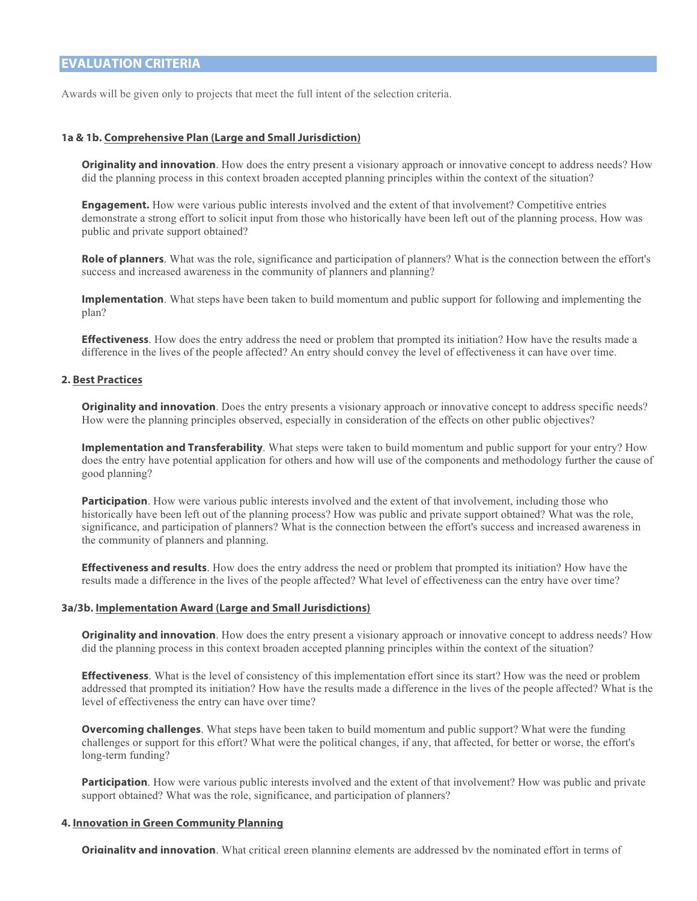## **EVALUATION CRITERIA**

Awards will be given only to projects that meet the full intent of the selection criteria.

#### **1a & 1b. Comprehensive Plan (Large and Small Jurisdiction)**

**Originality and innovation**. How does the entry present a visionary approach or innovative concept to address needs? How did the planning process in this context broaden accepted planning principles within the context of the situation?

**Engagement.** How were various public interests involved and the extent of that involvement? Competitive entries demonstrate a strong effort to solicit input from those who historically have been left out of the planning process. How was public and private support obtained?

**Role of planners**. What was the role, significance and participation of planners? What is the connection between the effort's success and increased awareness in the community of planners and planning?

**Implementation**. What steps have been taken to build momentum and public support for following and implementing the plan?

**Effectiveness**. How does the entry address the need or problem that prompted its initiation? How have the results made a difference in the lives of the people affected? An entry should convey the level of effectiveness it can have over time.

#### **2. Best Practices**

**Originality and innovation**. Does the entry presents a visionary approach or innovative concept to address specific needs? How were the planning principles observed, especially in consideration of the effects on other public objectives?

**Implementation and Transferability**. What steps were taken to build momentum and public support for your entry? How does the entry have potential application for others and how will use of the components and methodology further the cause of good planning?

**Participation**. How were various public interests involved and the extent of that involvement, including those who historically have been left out of the planning process? How was public and private support obtained? What was the role, significance, and participation of planners? What is the connection between the effort's success and increased awareness in the community of planners and planning.

**Effectiveness and results**. How does the entry address the need or problem that prompted its initiation? How have the results made a difference in the lives of the people affected? What level of effectiveness can the entry have over time?

#### **3a/3b. Implementation Award (Large and Small Jurisdictions)**

**Originality and innovation**. How does the entry present a visionary approach or innovative concept to address needs? How did the planning process in this context broaden accepted planning principles within the context of the situation?

**Effectiveness**. What is the level of consistency of this implementation effort since its start? How was the need or problem addressed that prompted its initiation? How have the results made a difference in the lives of the people affected? What is the level of effectiveness the entry can have over time?

**Overcoming challenges**. What steps have been taken to build momentum and public support? What were the funding challenges or support for this effort? What were the political changes, if any, that affected, for better or worse, the effort's long-term funding?

**Participation**. How were various public interests involved and the extent of that involvement? How was public and private support obtained? What was the role, significance, and participation of planners?

#### **4. Innovation in Green Community Planning**

**Originality and innovation**. What critical green planning elements are addressed by the nominated effort in terms of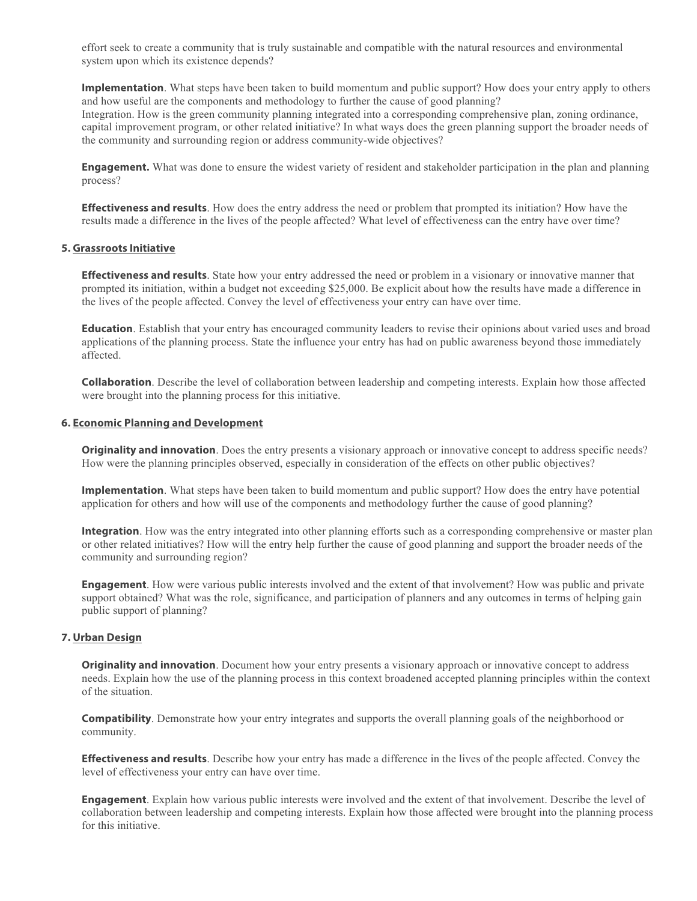effort seek to create a community that is truly sustainable and compatible with the natural resources and environmental system upon which its existence depends?

**Implementation**. What steps have been taken to build momentum and public support? How does your entry apply to others and how useful are the components and methodology to further the cause of good planning? Integration. How is the green community planning integrated into a corresponding comprehensive plan, zoning ordinance, capital improvement program, or other related initiative? In what ways does the green planning support the broader needs of the community and surrounding region or address community-wide objectives?

**Engagement.** What was done to ensure the widest variety of resident and stakeholder participation in the plan and planning process?

**Effectiveness and results**. How does the entry address the need or problem that prompted its initiation? How have the results made a difference in the lives of the people affected? What level of effectiveness can the entry have over time?

#### **5. Grassroots Initiative**

**Effectiveness and results**. State how your entry addressed the need or problem in a visionary or innovative manner that prompted its initiation, within a budget not exceeding \$25,000. Be explicit about how the results have made a difference in the lives of the people affected. Convey the level of effectiveness your entry can have over time.

**Education**. Establish that your entry has encouraged community leaders to revise their opinions about varied uses and broad applications of the planning process. State the influence your entry has had on public awareness beyond those immediately affected.

**Collaboration**. Describe the level of collaboration between leadership and competing interests. Explain how those affected were brought into the planning process for this initiative.

#### **6. Economic Planning and Development**

**Originality and innovation**. Does the entry presents a visionary approach or innovative concept to address specific needs? How were the planning principles observed, especially in consideration of the effects on other public objectives?

**Implementation**. What steps have been taken to build momentum and public support? How does the entry have potential application for others and how will use of the components and methodology further the cause of good planning?

**Integration**. How was the entry integrated into other planning efforts such as a corresponding comprehensive or master plan or other related initiatives? How will the entry help further the cause of good planning and support the broader needs of the community and surrounding region?

**Engagement**. How were various public interests involved and the extent of that involvement? How was public and private support obtained? What was the role, significance, and participation of planners and any outcomes in terms of helping gain public support of planning?

#### **7. Urban Design**

**Originality and innovation**. Document how your entry presents a visionary approach or innovative concept to address needs. Explain how the use of the planning process in this context broadened accepted planning principles within the context of the situation.

**Compatibility**. Demonstrate how your entry integrates and supports the overall planning goals of the neighborhood or community.

**Effectiveness and results**. Describe how your entry has made a difference in the lives of the people affected. Convey the level of effectiveness your entry can have over time.

**Engagement**. Explain how various public interests were involved and the extent of that involvement. Describe the level of collaboration between leadership and competing interests. Explain how those affected were brought into the planning process for this initiative.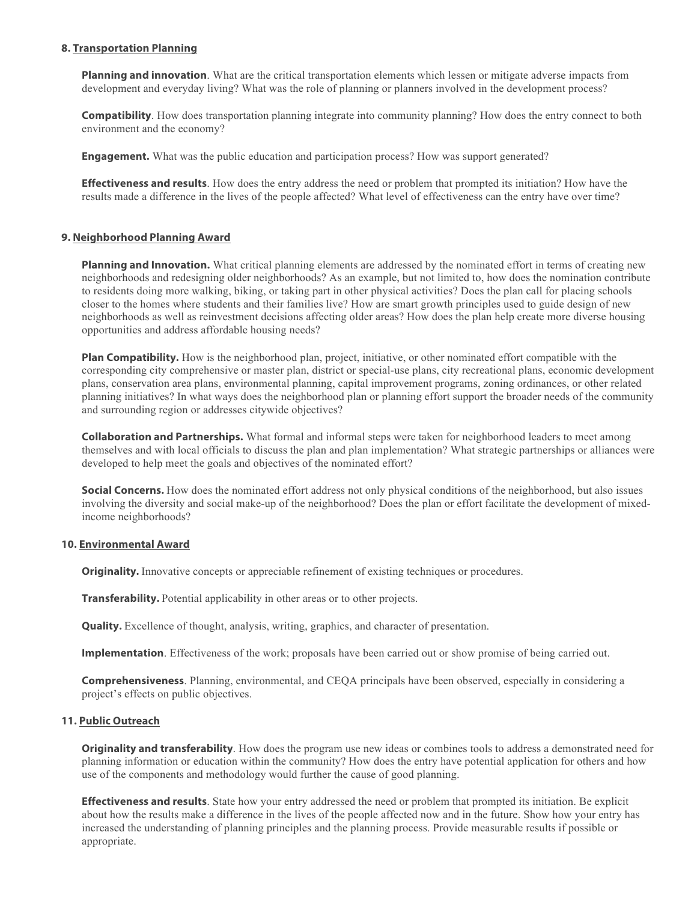#### **8. Transportation Planning**

**Planning and innovation**. What are the critical transportation elements which lessen or mitigate adverse impacts from development and everyday living? What was the role of planning or planners involved in the development process?

**Compatibility**. How does transportation planning integrate into community planning? How does the entry connect to both environment and the economy?

**Engagement.** What was the public education and participation process? How was support generated?

**Effectiveness and results**. How does the entry address the need or problem that prompted its initiation? How have the results made a difference in the lives of the people affected? What level of effectiveness can the entry have over time?

#### **9. Neighborhood Planning Award**

**Planning and Innovation.** What critical planning elements are addressed by the nominated effort in terms of creating new neighborhoods and redesigning older neighborhoods? As an example, but not limited to, how does the nomination contribute to residents doing more walking, biking, or taking part in other physical activities? Does the plan call for placing schools closer to the homes where students and their families live? How are smart growth principles used to guide design of new neighborhoods as well as reinvestment decisions affecting older areas? How does the plan help create more diverse housing opportunities and address affordable housing needs?

**Plan Compatibility.** How is the neighborhood plan, project, initiative, or other nominated effort compatible with the corresponding city comprehensive or master plan, district or special-use plans, city recreational plans, economic development plans, conservation area plans, environmental planning, capital improvement programs, zoning ordinances, or other related planning initiatives? In what ways does the neighborhood plan or planning effort support the broader needs of the community and surrounding region or addresses citywide objectives?

**Collaboration and Partnerships.** What formal and informal steps were taken for neighborhood leaders to meet among themselves and with local officials to discuss the plan and plan implementation? What strategic partnerships or alliances were developed to help meet the goals and objectives of the nominated effort?

**Social Concerns.** How does the nominated effort address not only physical conditions of the neighborhood, but also issues involving the diversity and social make-up of the neighborhood? Does the plan or effort facilitate the development of mixedincome neighborhoods?

#### **10. Environmental Award**

**Originality.** Innovative concepts or appreciable refinement of existing techniques or procedures.

**Transferability.** Potential applicability in other areas or to other projects.

**Quality.** Excellence of thought, analysis, writing, graphics, and character of presentation.

**Implementation**. Effectiveness of the work; proposals have been carried out or show promise of being carried out.

**Comprehensiveness**. Planning, environmental, and CEQA principals have been observed, especially in considering a project's effects on public objectives.

#### **11. Public Outreach**

**Originality and transferability**. How does the program use new ideas or combines tools to address a demonstrated need for planning information or education within the community? How does the entry have potential application for others and how use of the components and methodology would further the cause of good planning.

**Effectiveness and results**. State how your entry addressed the need or problem that prompted its initiation. Be explicit about how the results make a difference in the lives of the people affected now and in the future. Show how your entry has increased the understanding of planning principles and the planning process. Provide measurable results if possible or appropriate.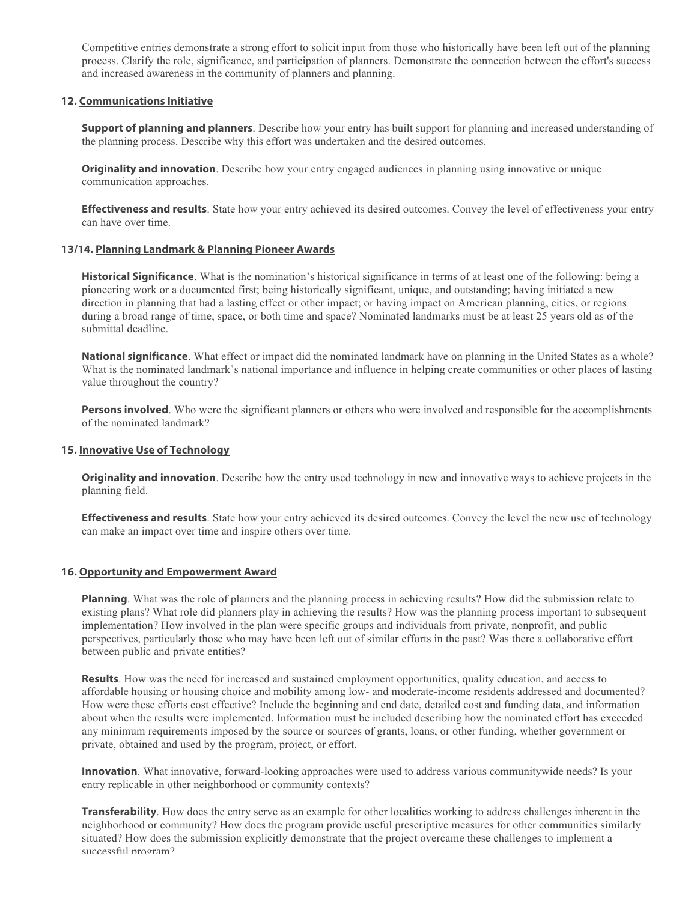Competitive entries demonstrate a strong effort to solicit input from those who historically have been left out of the planning process. Clarify the role, significance, and participation of planners. Demonstrate the connection between the effort's success and increased awareness in the community of planners and planning.

#### **12. Communications Initiative**

**Support of planning and planners**. Describe how your entry has built support for planning and increased understanding of the planning process. Describe why this effort was undertaken and the desired outcomes.

**Originality and innovation**. Describe how your entry engaged audiences in planning using innovative or unique communication approaches.

**Effectiveness and results**. State how your entry achieved its desired outcomes. Convey the level of effectiveness your entry can have over time.

#### **13/14. Planning Landmark & Planning Pioneer Awards**

**Historical Significance**. What is the nomination's historical significance in terms of at least one of the following: being a pioneering work or a documented first; being historically significant, unique, and outstanding; having initiated a new direction in planning that had a lasting effect or other impact; or having impact on American planning, cities, or regions during a broad range of time, space, or both time and space? Nominated landmarks must be at least 25 years old as of the submittal deadline.

**National significance**. What effect or impact did the nominated landmark have on planning in the United States as a whole? What is the nominated landmark's national importance and influence in helping create communities or other places of lasting value throughout the country?

**Persons involved**. Who were the significant planners or others who were involved and responsible for the accomplishments of the nominated landmark?

#### **15. Innovative Use of Technology**

**Originality and innovation**. Describe how the entry used technology in new and innovative ways to achieve projects in the planning field.

**Effectiveness and results**. State how your entry achieved its desired outcomes. Convey the level the new use of technology can make an impact over time and inspire others over time.

#### **16. Opportunity and Empowerment Award**

**Planning**. What was the role of planners and the planning process in achieving results? How did the submission relate to existing plans? What role did planners play in achieving the results? How was the planning process important to subsequent implementation? How involved in the plan were specific groups and individuals from private, nonprofit, and public perspectives, particularly those who may have been left out of similar efforts in the past? Was there a collaborative effort between public and private entities?

**Results**. How was the need for increased and sustained employment opportunities, quality education, and access to affordable housing or housing choice and mobility among low- and moderate-income residents addressed and documented? How were these efforts cost effective? Include the beginning and end date, detailed cost and funding data, and information about when the results were implemented. Information must be included describing how the nominated effort has exceeded any minimum requirements imposed by the source or sources of grants, loans, or other funding, whether government or private, obtained and used by the program, project, or effort.

**Innovation**. What innovative, forward-looking approaches were used to address various communitywide needs? Is your entry replicable in other neighborhood or community contexts?

**Transferability**. How does the entry serve as an example for other localities working to address challenges inherent in the neighborhood or community? How does the program provide useful prescriptive measures for other communities similarly situated? How does the submission explicitly demonstrate that the project overcame these challenges to implement a successful program?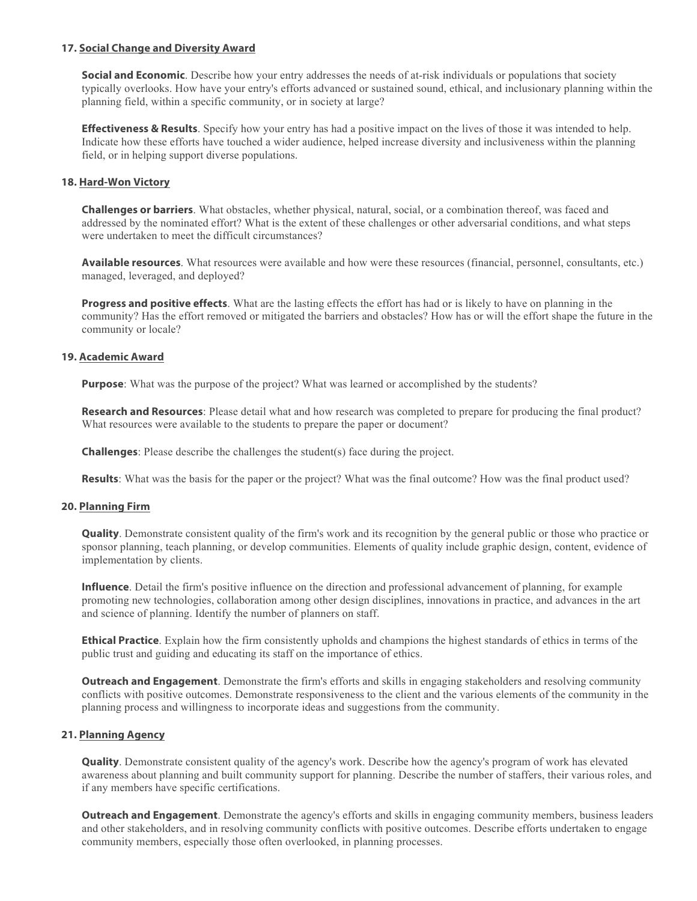#### **17. Social Change and Diversity Award**

**Social and Economic**. Describe how your entry addresses the needs of at-risk individuals or populations that society typically overlooks. How have your entry's efforts advanced or sustained sound, ethical, and inclusionary planning within the planning field, within a specific community, or in society at large?

**Effectiveness & Results**. Specify how your entry has had a positive impact on the lives of those it was intended to help. Indicate how these efforts have touched a wider audience, helped increase diversity and inclusiveness within the planning field, or in helping support diverse populations.

#### **18. Hard-Won Victory**

**Challenges or barriers**. What obstacles, whether physical, natural, social, or a combination thereof, was faced and addressed by the nominated effort? What is the extent of these challenges or other adversarial conditions, and what steps were undertaken to meet the difficult circumstances?

**Available resources**. What resources were available and how were these resources (financial, personnel, consultants, etc.) managed, leveraged, and deployed?

**Progress and positive effects**. What are the lasting effects the effort has had or is likely to have on planning in the community? Has the effort removed or mitigated the barriers and obstacles? How has or will the effort shape the future in the community or locale?

#### **19. Academic Award**

**Purpose**: What was the purpose of the project? What was learned or accomplished by the students?

**Research and Resources**: Please detail what and how research was completed to prepare for producing the final product? What resources were available to the students to prepare the paper or document?

**Challenges**: Please describe the challenges the student(s) face during the project.

**Results**: What was the basis for the paper or the project? What was the final outcome? How was the final product used?

#### **20. Planning Firm**

**Quality**. Demonstrate consistent quality of the firm's work and its recognition by the general public or those who practice or sponsor planning, teach planning, or develop communities. Elements of quality include graphic design, content, evidence of implementation by clients.

**Influence**. Detail the firm's positive influence on the direction and professional advancement of planning, for example promoting new technologies, collaboration among other design disciplines, innovations in practice, and advances in the art and science of planning. Identify the number of planners on staff.

**Ethical Practice**. Explain how the firm consistently upholds and champions the highest standards of ethics in terms of the public trust and guiding and educating its staff on the importance of ethics.

**Outreach and Engagement**. Demonstrate the firm's efforts and skills in engaging stakeholders and resolving community conflicts with positive outcomes. Demonstrate responsiveness to the client and the various elements of the community in the planning process and willingness to incorporate ideas and suggestions from the community.

#### **21. Planning Agency**

**Quality**. Demonstrate consistent quality of the agency's work. Describe how the agency's program of work has elevated awareness about planning and built community support for planning. Describe the number of staffers, their various roles, and if any members have specific certifications.

**Outreach and Engagement**. Demonstrate the agency's efforts and skills in engaging community members, business leaders and other stakeholders, and in resolving community conflicts with positive outcomes. Describe efforts undertaken to engage community members, especially those often overlooked, in planning processes.